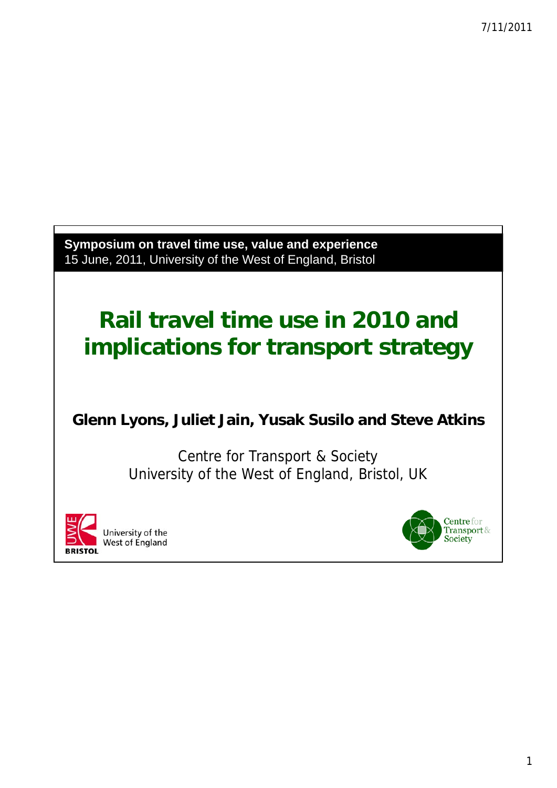Symposium on travel time use, value and experience 15 June, 2011, University of the West of England, Bristol

# **Rail travel time use in 2010 and implications for transport strategy**

#### **Glenn Lyons, Juliet Jain, Yusak Susilo and Steve Atkins**

Centre for Transport & Society University of the West of England, Bristol, UK



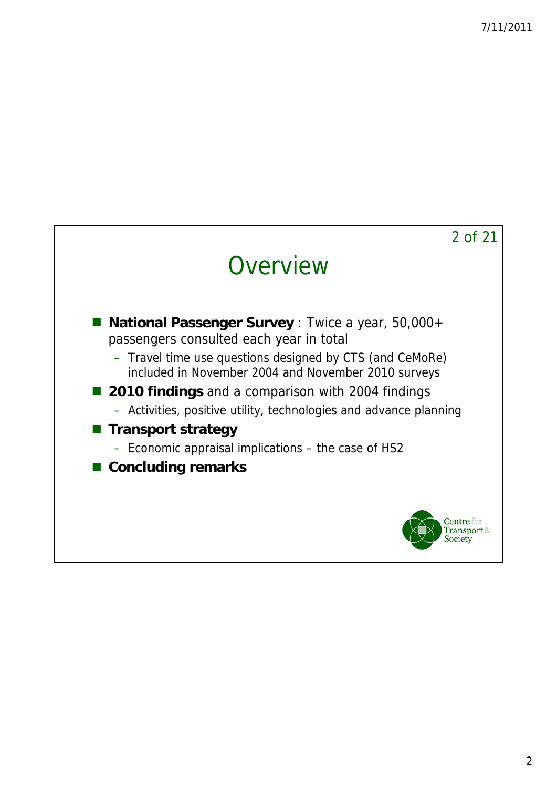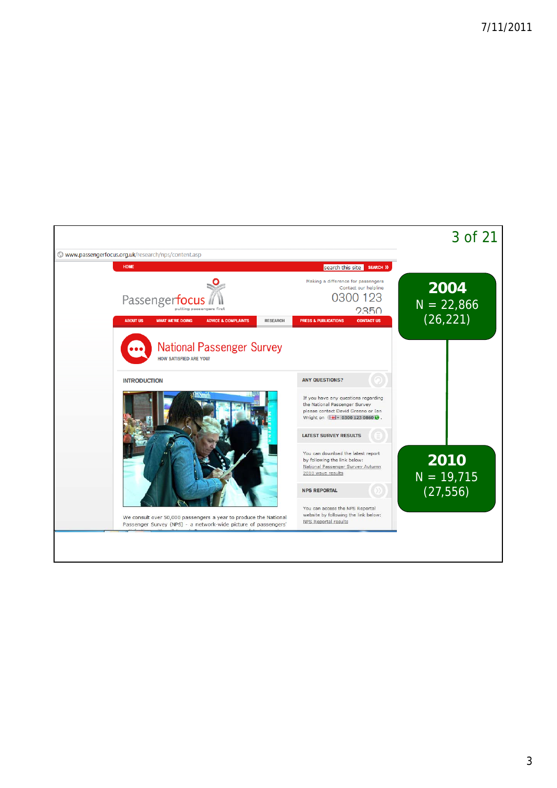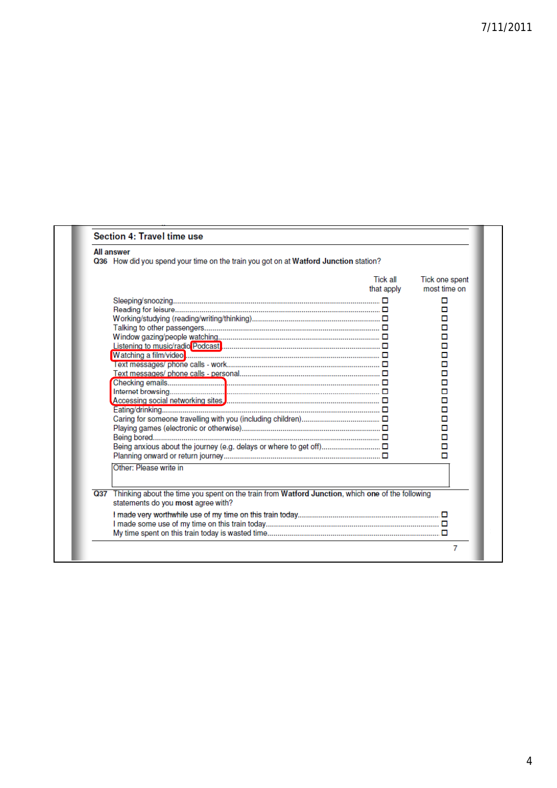| <b>All answer</b><br>Q36 How did you spend your time on the train you got on at Watford Junction station?                                                            |                        |                                                                                   |
|----------------------------------------------------------------------------------------------------------------------------------------------------------------------|------------------------|-----------------------------------------------------------------------------------|
|                                                                                                                                                                      | Tick all<br>that apply | Tick one spent<br>most time on<br>◻                                               |
|                                                                                                                                                                      |                        | ◻<br>□<br>□<br>□<br>□<br>□<br>о<br>о<br>□<br>о<br>□<br>о<br>о<br>о<br>□<br>о<br>п |
| Other: Please write in<br>Q37 Thinking about the time you spent on the train from Watford Junction, which one of the following<br>statements do you most agree with? |                        |                                                                                   |
|                                                                                                                                                                      |                        |                                                                                   |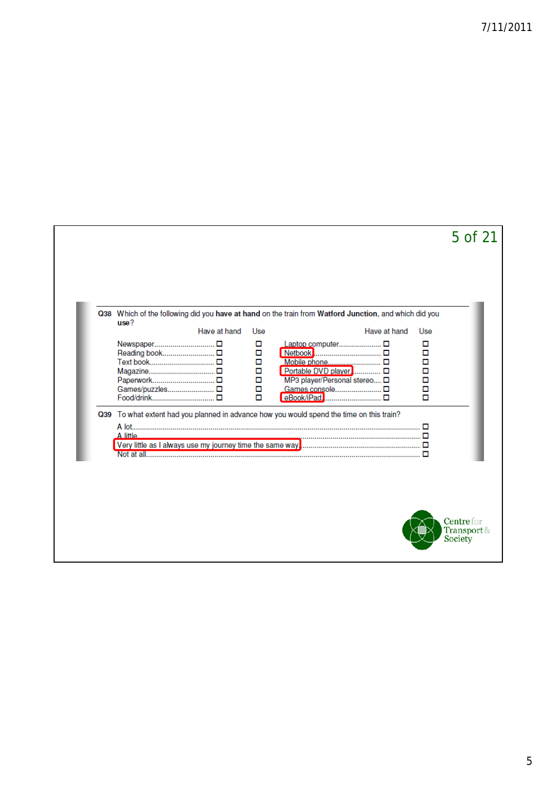|                                                |              |                                           | Q38 Which of the following did you have at hand on the train from Watford Junction, and which did you    |              |                                                |
|------------------------------------------------|--------------|-------------------------------------------|----------------------------------------------------------------------------------------------------------|--------------|------------------------------------------------|
| use?                                           | Have at hand | Use                                       |                                                                                                          | Have at hand | Use                                            |
| Text book □<br>Games/puzzles □<br>Food/drink □ |              | □<br>□<br>$\Box$<br>о<br>$\Box$<br>Ο<br>о | Laptop computer □<br>Mobile phone □<br>Portable DVD player □<br>MP3 player/Personal stereo<br>eBook/iPad |              | □<br>П<br>$\Box$<br>Ō<br>$\Box$<br>$\Box$<br>П |
| A little                                       |              |                                           | Q39 To what extent had you planned in advance how you would spend the time on this train?                |              |                                                |
|                                                |              |                                           |                                                                                                          |              |                                                |
|                                                |              |                                           |                                                                                                          |              |                                                |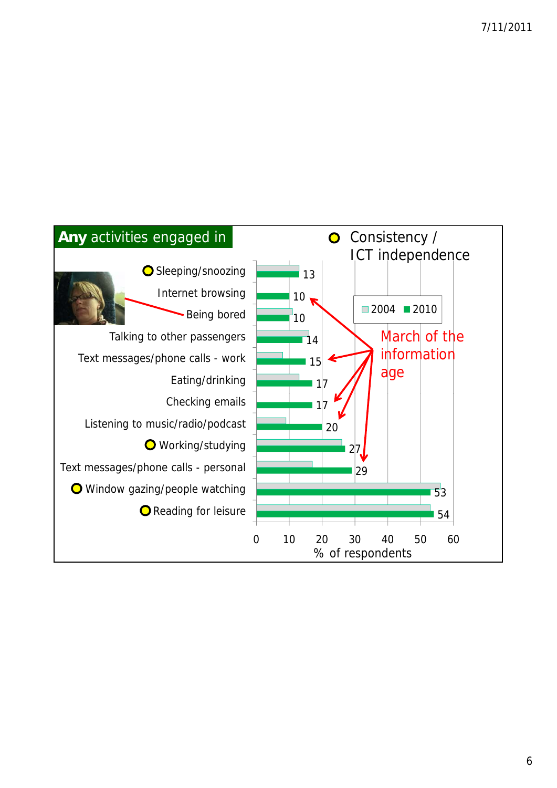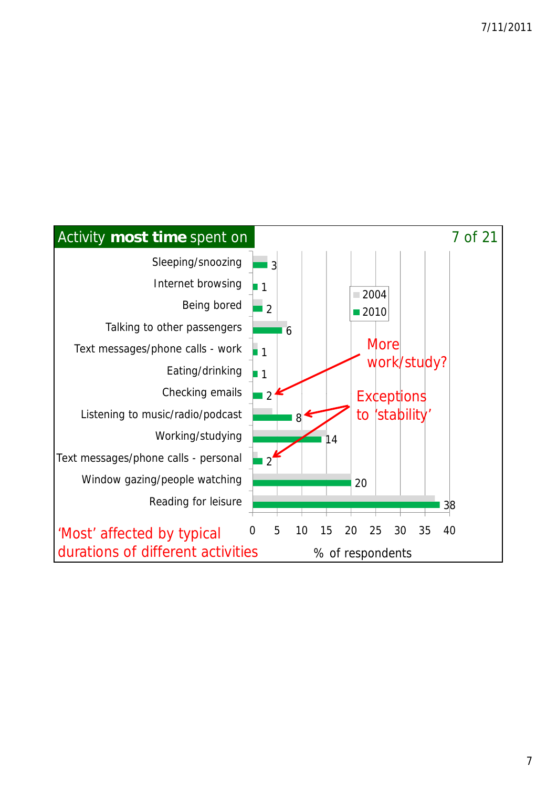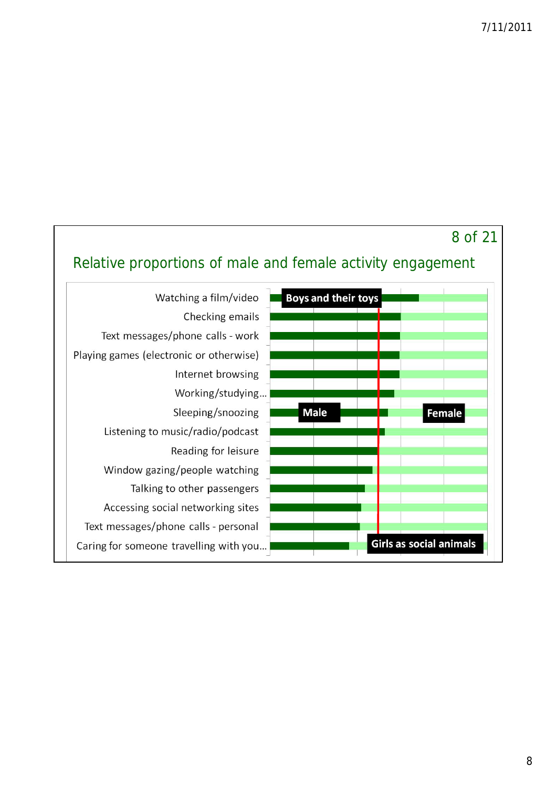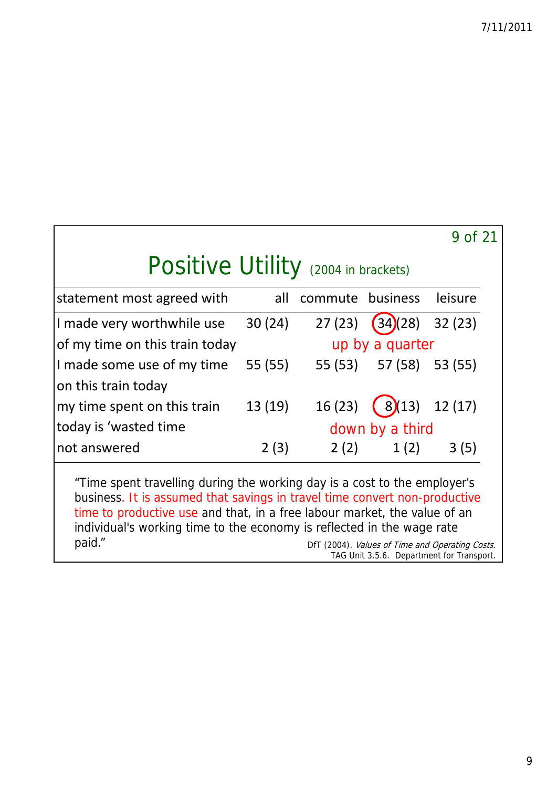|                                                                                                                                                                                                                                      |         |                  |                         | 9 of 21        |  |  |  |
|--------------------------------------------------------------------------------------------------------------------------------------------------------------------------------------------------------------------------------------|---------|------------------|-------------------------|----------------|--|--|--|
| Positive Utility (2004 in brackets)                                                                                                                                                                                                  |         |                  |                         |                |  |  |  |
| statement most agreed with                                                                                                                                                                                                           | all     | commute business |                         | leisure        |  |  |  |
| I made very worthwhile use                                                                                                                                                                                                           | 30(24)  | 27(23)           | $(34)(28)$ 32(23)       |                |  |  |  |
| of my time on this train today                                                                                                                                                                                                       |         |                  | up by a quarter         |                |  |  |  |
| I made some use of my time                                                                                                                                                                                                           | 55 (55) |                  | 55 (53) 57 (58) 53 (55) |                |  |  |  |
| on this train today                                                                                                                                                                                                                  |         |                  |                         |                |  |  |  |
| my time spent on this train                                                                                                                                                                                                          | 13 (19) | 16(23)           |                         | $8(13)$ 12(17) |  |  |  |
| today is 'wasted time                                                                                                                                                                                                                |         | down by a third  |                         |                |  |  |  |
| not answered                                                                                                                                                                                                                         | 2(3)    | 2(2)             | 1(2)                    | 3(5)           |  |  |  |
| "Time spent travelling during the working day is a cost to the employer's<br>business. It is assumed that savings in travel time convert non-productive<br>time to productive use and that, in a free labour market, the value of an |         |                  |                         |                |  |  |  |

individual's working time to the economy is reflected in the wage rate<br>paid." DET (2004). Values of Time and Operation paid." Demondant Controller Controller Controller DFT (2004). Values of Time and Operating Costs. TAG Unit 3.5.6. Department for Transport.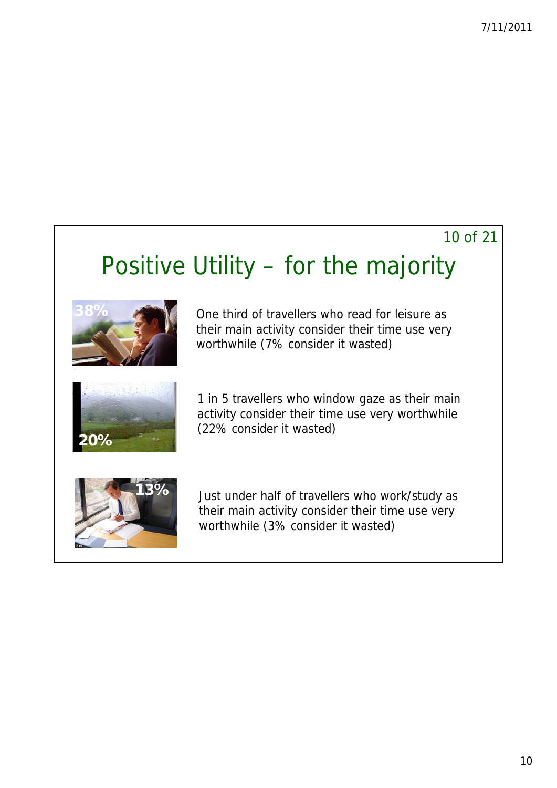#### 10 of 21

## Positive Utility – for the majority



One third of travellers who read for leisure as their main activity consider their time use very worthwhile (7% consider it wasted)



1 in 5 travellers who window gaze as their main activity consider their time use very worthwhile



**13%** Just under half of travellers who work/study as their main activity consider their time use very worthwhile (3% consider it wasted)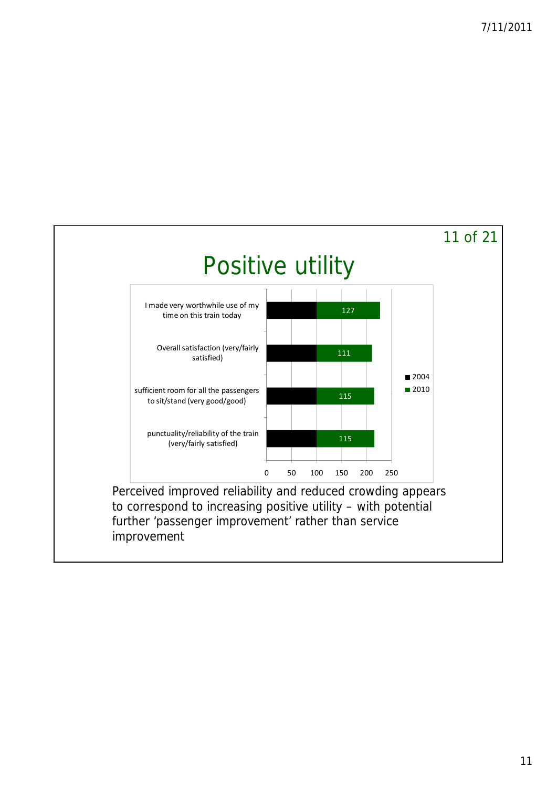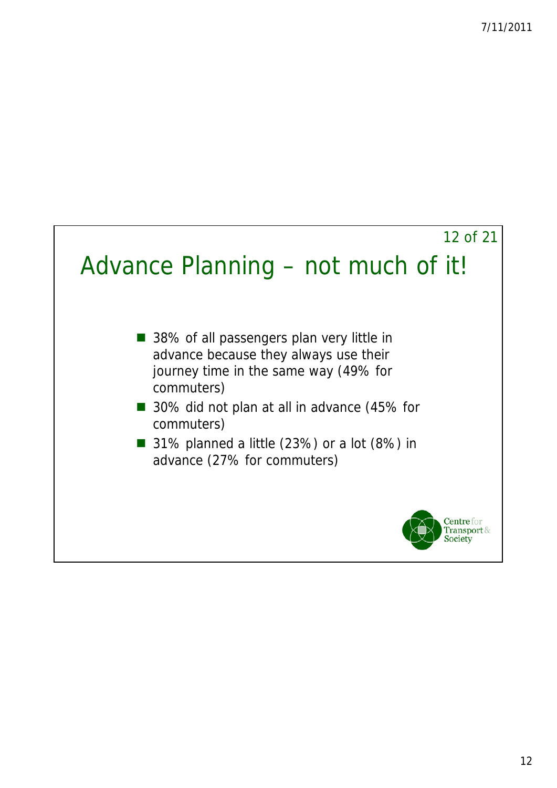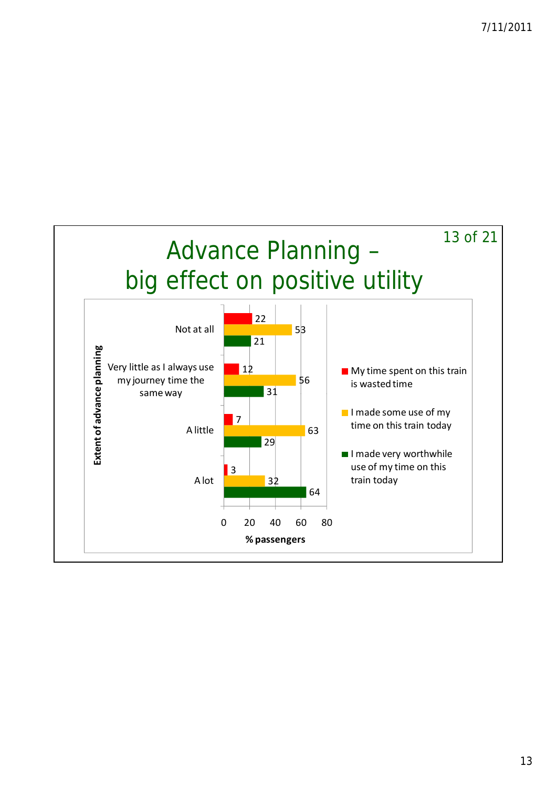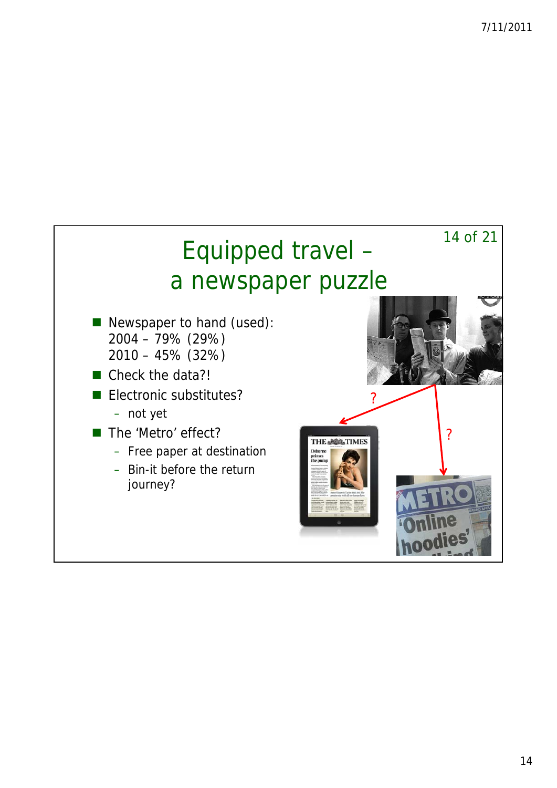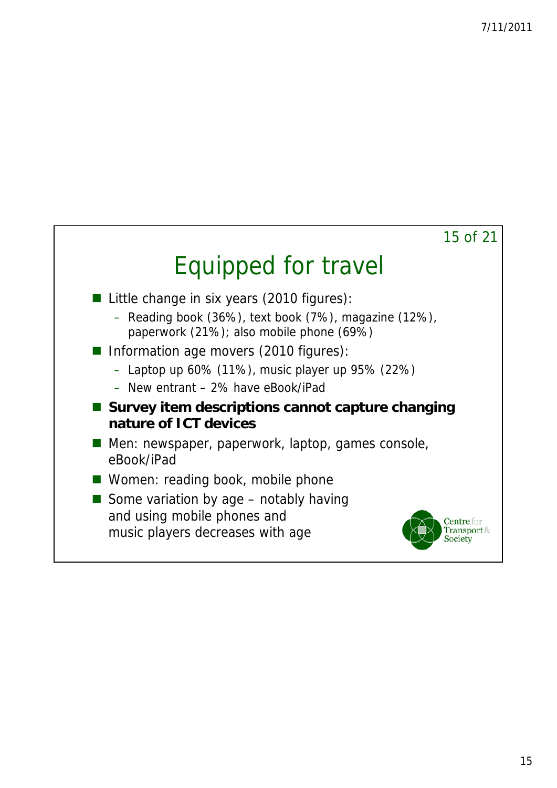

## Equipped for travel

- Little change in six years (2010 figures):
	- Reading book (36%), text book (7%), magazine (12%), paperwork (21%); also mobile phone (69%)
- Information age movers (2010 figures):
	- Laptop up 60% (11%), music player up 95% (22%)
	- New entrant 2% have eBook/iPad
- Survey item descriptions cannot capture changing **nature of ICT devices**
- Men: newspaper, paperwork, laptop, games console, eBook/iPad
- Women: reading book, mobile phone
- Some variation by age  $-$  notably having and using mobile phones and music players decreases with age

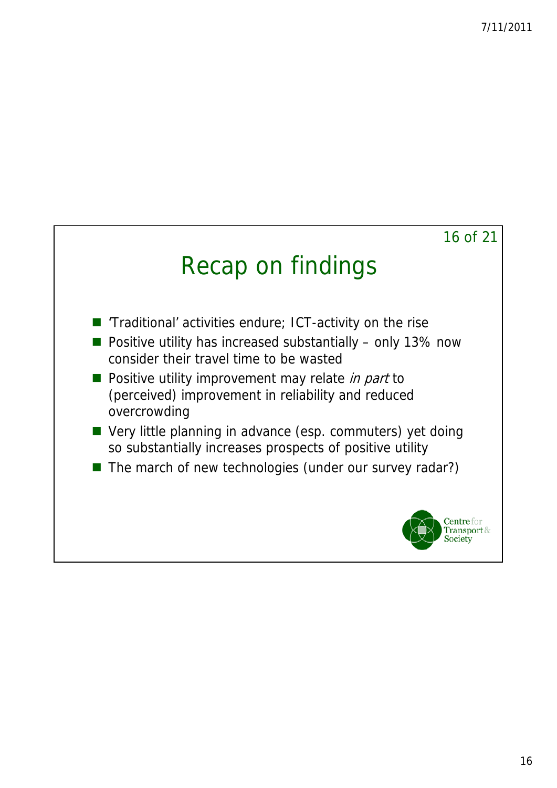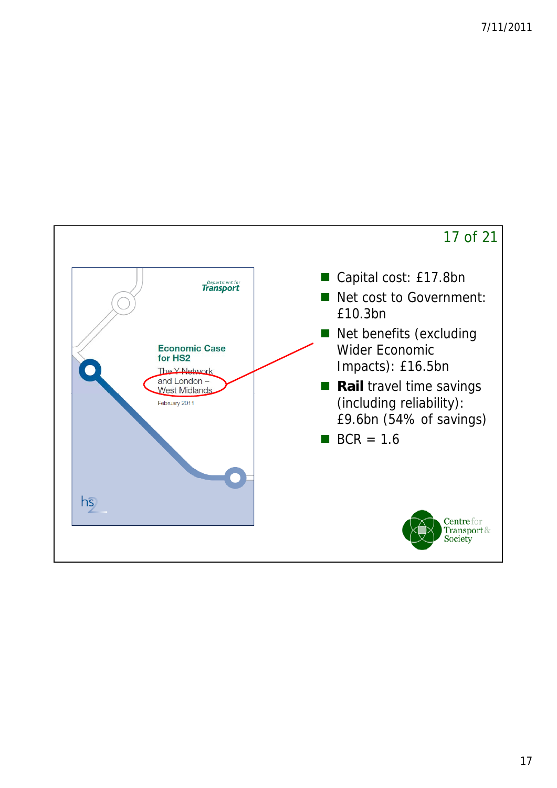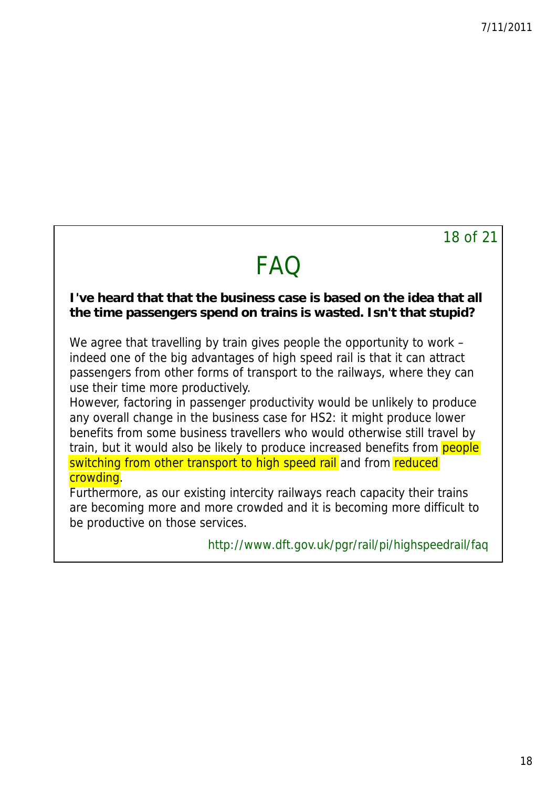#### 18 of 21

## **FAQ**

#### **I've heard that that the business case is based on the idea that all the time passengers spend on trains is wasted. Isn't that stupid?**

We agree that travelling by train gives people the opportunity to work – indeed one of the big advantages of high speed rail is that it can attract passengers from other forms of transport to the railways, where they can use their time more productively.

However, factoring in passenger productivity would be unlikely to produce any overall change in the business case for HS2: it might produce lower benefits from some business travellers who would otherwise still travel by train, but it would also be likely to produce increased benefits from **people** switching from other transport to high speed rail and from reduced crowding.

Furthermore, as our existing intercity railways reach capacity their trains are becoming more and more crowded and it is becoming more difficult to be productive on those services.

<http://www.dft.gov.uk/pgr/rail/pi/highspeedrail/faq>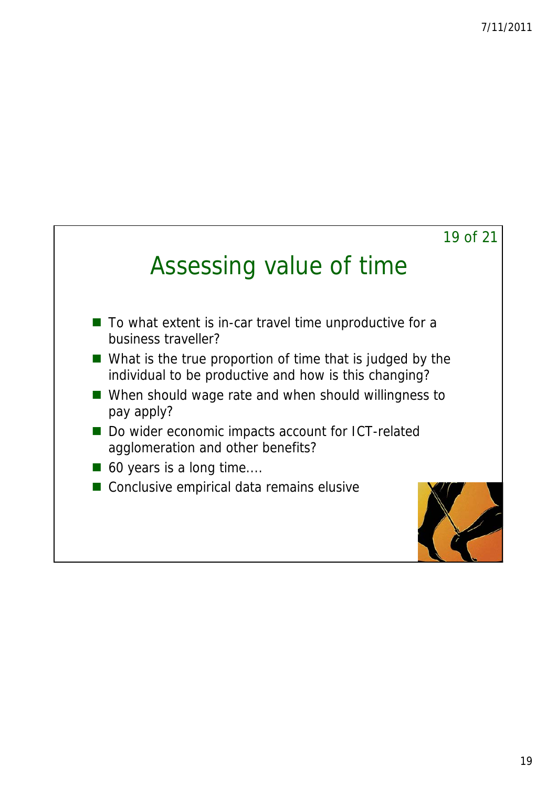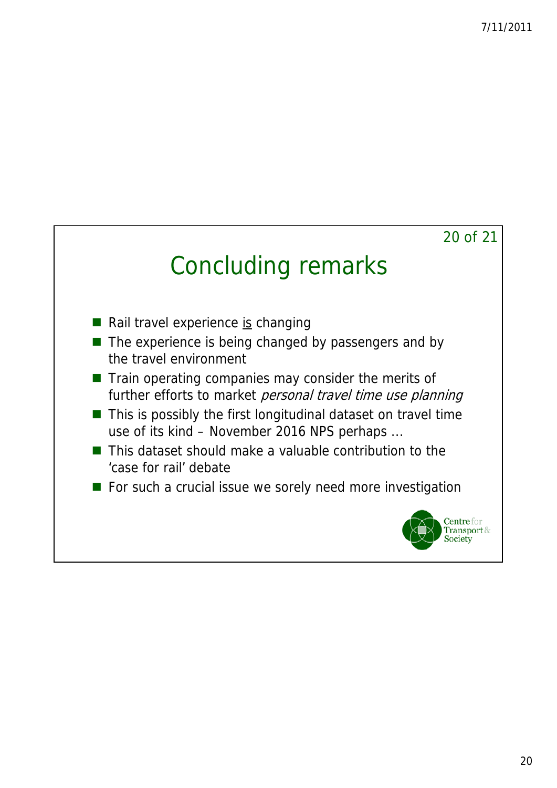